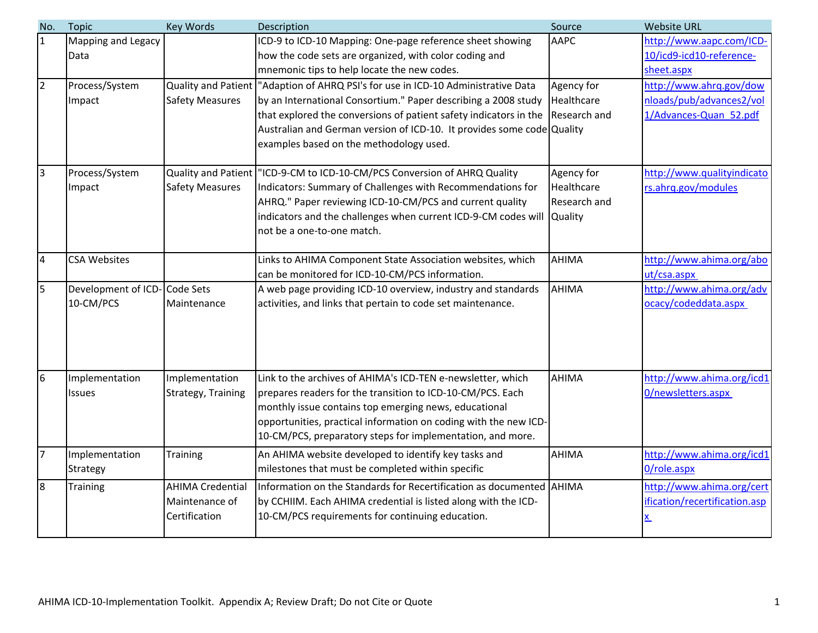| No.             | <b>Topic</b>                              | <b>Key Words</b>                                           | Description                                                                                                                                                                                                                                                                                                               | Source                                   | <b>Website URL</b>                                                            |
|-----------------|-------------------------------------------|------------------------------------------------------------|---------------------------------------------------------------------------------------------------------------------------------------------------------------------------------------------------------------------------------------------------------------------------------------------------------------------------|------------------------------------------|-------------------------------------------------------------------------------|
| 1               | Mapping and Legacy<br>Data                |                                                            | ICD-9 to ICD-10 Mapping: One-page reference sheet showing<br>how the code sets are organized, with color coding and                                                                                                                                                                                                       | <b>AAPC</b>                              | http://www.aapc.com/ICD-<br>10/icd9-icd10-reference-                          |
|                 |                                           |                                                            | mnemonic tips to help locate the new codes.                                                                                                                                                                                                                                                                               |                                          | sheet.aspx                                                                    |
| $\overline{2}$  | Process/System<br>Impact                  | Quality and Patient<br><b>Safety Measures</b>              | "Adaption of AHRQ PSI's for use in ICD-10 Administrative Data<br>by an International Consortium." Paper describing a 2008 study<br>that explored the conversions of patient safety indicators in the<br>Australian and German version of ICD-10. It provides some code Quality<br>examples based on the methodology used. | Agency for<br>Healthcare<br>Research and | http://www.ahrg.gov/dow<br>nloads/pub/advances2/vol<br>1/Advances-Quan 52.pdf |
| 3               | Process/System<br>Impact                  | Quality and Patient<br><b>Safety Measures</b>              | "ICD-9-CM to ICD-10-CM/PCS Conversion of AHRQ Quality<br>Indicators: Summary of Challenges with Recommendations for<br>AHRQ." Paper reviewing ICD-10-CM/PCS and current quality<br>indicators and the challenges when current ICD-9-CM codes will Quality<br>not be a one-to-one match.                                   | Agency for<br>Healthcare<br>Research and | http://www.qualityindicato<br>rs.ahrq.gov/modules                             |
| 4               | <b>CSA Websites</b>                       |                                                            | Links to AHIMA Component State Association websites, which<br>can be monitored for ICD-10-CM/PCS information.                                                                                                                                                                                                             | <b>AHIMA</b>                             | http://www.ahima.org/abo<br>ut/csa.aspx                                       |
| 5               | Development of ICD-Code Sets<br>10-CM/PCS | Maintenance                                                | A web page providing ICD-10 overview, industry and standards<br>activities, and links that pertain to code set maintenance.                                                                                                                                                                                               | <b>AHIMA</b>                             | http://www.ahima.org/adv<br>ocacy/codeddata.aspx                              |
| $6\overline{6}$ | Implementation<br><b>Issues</b>           | Implementation<br>Strategy, Training                       | Link to the archives of AHIMA's ICD-TEN e-newsletter, which<br>prepares readers for the transition to ICD-10-CM/PCS. Each<br>monthly issue contains top emerging news, educational<br>opportunities, practical information on coding with the new ICD-<br>10-CM/PCS, preparatory steps for implementation, and more.      | <b>AHIMA</b>                             | http://www.ahima.org/icd1<br>0/newsletters.aspx                               |
| $\overline{7}$  | Implementation<br>Strategy                | <b>Training</b>                                            | An AHIMA website developed to identify key tasks and<br>milestones that must be completed within specific                                                                                                                                                                                                                 | <b>AHIMA</b>                             | http://www.ahima.org/icd1<br>0/role.aspx                                      |
| 8               | <b>Training</b>                           | <b>AHIMA Credential</b><br>Maintenance of<br>Certification | Information on the Standards for Recertification as documented AHIMA<br>by CCHIIM. Each AHIMA credential is listed along with the ICD-<br>10-CM/PCS requirements for continuing education.                                                                                                                                |                                          | http://www.ahima.org/cert<br>ification/recertification.asp<br>$\underline{x}$ |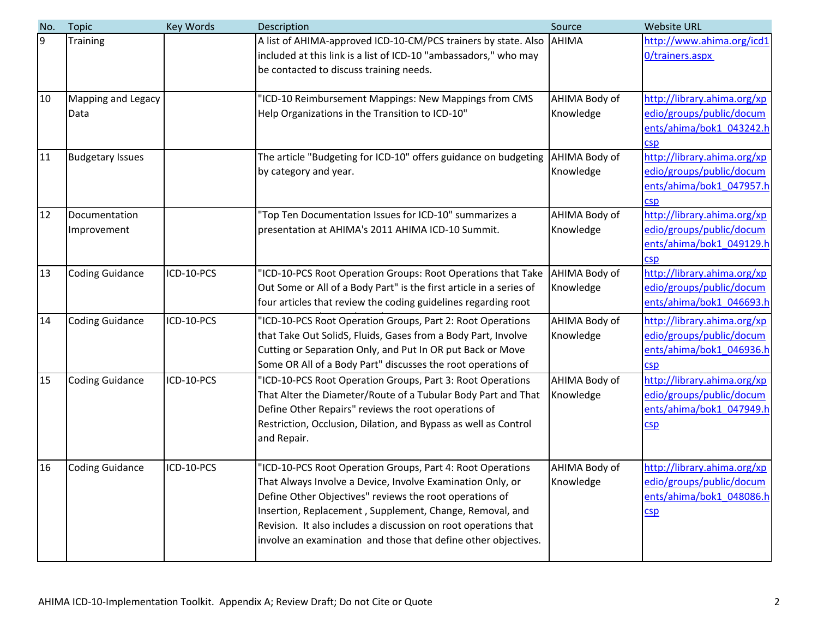| No. | <b>Topic</b>            | <b>Key Words</b> | Description                                                                                                                                                                         | Source        | <b>Website URL</b>                                   |
|-----|-------------------------|------------------|-------------------------------------------------------------------------------------------------------------------------------------------------------------------------------------|---------------|------------------------------------------------------|
| 9   | Training                |                  | A list of AHIMA-approved ICD-10-CM/PCS trainers by state. Also AHIMA<br>included at this link is a list of ICD-10 "ambassadors," who may<br>be contacted to discuss training needs. |               | http://www.ahima.org/icd1<br>O/trainers.aspx         |
|     |                         |                  |                                                                                                                                                                                     |               |                                                      |
| 10  | Mapping and Legacy      |                  | 'ICD-10 Reimbursement Mappings: New Mappings from CMS                                                                                                                               | AHIMA Body of | http://library.ahima.org/xp                          |
|     | Data                    |                  | Help Organizations in the Transition to ICD-10"                                                                                                                                     | Knowledge     | edio/groups/public/docum<br>ents/ahima/bok1 043242.h |
|     |                         |                  |                                                                                                                                                                                     |               | <b>CSD</b>                                           |
| 11  | <b>Budgetary Issues</b> |                  | The article "Budgeting for ICD-10" offers guidance on budgeting                                                                                                                     | AHIMA Body of | http://library.ahima.org/xp                          |
|     |                         |                  | by category and year.                                                                                                                                                               | Knowledge     | edio/groups/public/docum                             |
|     |                         |                  |                                                                                                                                                                                     |               | ents/ahima/bok1 047957.h<br><b>CSD</b>               |
| 12  | Documentation           |                  | 'Top Ten Documentation Issues for ICD-10" summarizes a                                                                                                                              | AHIMA Body of | http://library.ahima.org/xp                          |
|     | Improvement             |                  | presentation at AHIMA's 2011 AHIMA ICD-10 Summit.                                                                                                                                   | Knowledge     | edio/groups/public/docum                             |
|     |                         |                  |                                                                                                                                                                                     |               | ents/ahima/bok1 049129.h                             |
| 13  | <b>Coding Guidance</b>  | ICD-10-PCS       | 'ICD-10-PCS Root Operation Groups: Root Operations that Take                                                                                                                        | AHIMA Body of | <b>CSD</b><br>http://library.ahima.org/xp            |
|     |                         |                  | Out Some or All of a Body Part" is the first article in a series of                                                                                                                 | Knowledge     | edio/groups/public/docum                             |
|     |                         |                  | four articles that review the coding guidelines regarding root                                                                                                                      |               | ents/ahima/bok1 046693.h                             |
| 14  | <b>Coding Guidance</b>  | ICD-10-PCS       | 'ICD-10-PCS Root Operation Groups, Part 2: Root Operations                                                                                                                          | AHIMA Body of | http://library.ahima.org/xp                          |
|     |                         |                  | that Take Out SolidS, Fluids, Gases from a Body Part, Involve                                                                                                                       | Knowledge     | edio/groups/public/docum                             |
|     |                         |                  | Cutting or Separation Only, and Put In OR put Back or Move                                                                                                                          |               | ents/ahima/bok1 046936.h                             |
| 15  | <b>Coding Guidance</b>  | ICD-10-PCS       | Some OR All of a Body Part" discusses the root operations of<br>'ICD-10-PCS Root Operation Groups, Part 3: Root Operations                                                          | AHIMA Body of | CSD<br>http://library.ahima.org/xp                   |
|     |                         |                  | That Alter the Diameter/Route of a Tubular Body Part and That                                                                                                                       | Knowledge     | edio/groups/public/docum                             |
|     |                         |                  | Define Other Repairs" reviews the root operations of                                                                                                                                |               | ents/ahima/bok1 047949.h                             |
|     |                         |                  | Restriction, Occlusion, Dilation, and Bypass as well as Control                                                                                                                     |               | <b>CSD</b>                                           |
|     |                         |                  | and Repair.                                                                                                                                                                         |               |                                                      |
| 16  | <b>Coding Guidance</b>  | ICD-10-PCS       | 'ICD-10-PCS Root Operation Groups, Part 4: Root Operations                                                                                                                          | AHIMA Body of | http://library.ahima.org/xp                          |
|     |                         |                  | That Always Involve a Device, Involve Examination Only, or                                                                                                                          | Knowledge     | edio/groups/public/docum                             |
|     |                         |                  | Define Other Objectives" reviews the root operations of                                                                                                                             |               | ents/ahima/bok1 048086.h                             |
|     |                         |                  | Insertion, Replacement, Supplement, Change, Removal, and                                                                                                                            |               | CSD                                                  |
|     |                         |                  | Revision. It also includes a discussion on root operations that<br>involve an examination and those that define other objectives.                                                   |               |                                                      |
|     |                         |                  |                                                                                                                                                                                     |               |                                                      |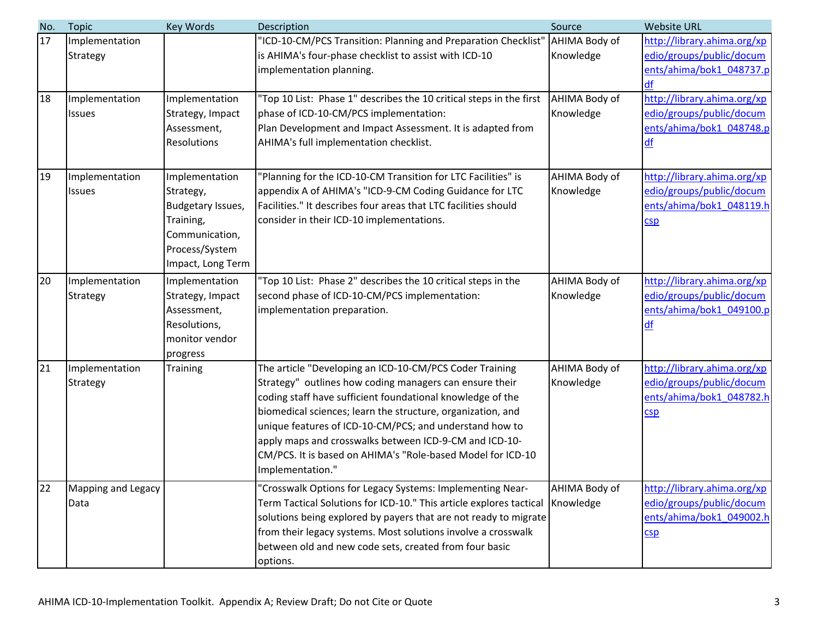| No. | <b>Topic</b>       | <b>Key Words</b>   | Description                                                         | Source        | <b>Website URL</b>                                      |
|-----|--------------------|--------------------|---------------------------------------------------------------------|---------------|---------------------------------------------------------|
| 17  | Implementation     |                    | 'ICD-10-CM/PCS Transition: Planning and Preparation Checklist"      | AHIMA Body of | http://library.ahima.org/xp<br>edio/groups/public/docum |
|     | <b>Strategy</b>    |                    | is AHIMA's four-phase checklist to assist with ICD-10               | Knowledge     |                                                         |
|     |                    |                    | implementation planning.                                            |               | ents/ahima/bok1 048737.p<br>df                          |
| 18  | Implementation     | Implementation     | 'Top 10 List: Phase 1" describes the 10 critical steps in the first | AHIMA Body of | http://library.ahima.org/xp                             |
|     | <b>Issues</b>      | Strategy, Impact   | phase of ICD-10-CM/PCS implementation:                              | Knowledge     | edio/groups/public/docum                                |
|     |                    | Assessment,        | Plan Development and Impact Assessment. It is adapted from          |               | ents/ahima/bok1 048748.p                                |
|     |                    | <b>Resolutions</b> | AHIMA's full implementation checklist.                              |               | df                                                      |
|     |                    |                    |                                                                     |               |                                                         |
| 19  | Implementation     | Implementation     | 'Planning for the ICD-10-CM Transition for LTC Facilities" is       | AHIMA Body of | http://library.ahima.org/xp                             |
|     | <b>Issues</b>      | Strategy,          | appendix A of AHIMA's "ICD-9-CM Coding Guidance for LTC             | Knowledge     | edio/groups/public/docum                                |
|     |                    | Budgetary Issues,  | Facilities." It describes four areas that LTC facilities should     |               | ents/ahima/bok1 048119.h                                |
|     |                    | Training,          | consider in their ICD-10 implementations.                           |               | CSD                                                     |
|     |                    | Communication,     |                                                                     |               |                                                         |
|     |                    | Process/System     |                                                                     |               |                                                         |
|     |                    | Impact, Long Term  |                                                                     |               |                                                         |
| 20  | Implementation     | Implementation     | 'Top 10 List: Phase 2" describes the 10 critical steps in the       | AHIMA Body of | http://library.ahima.org/xp                             |
|     | Strategy           | Strategy, Impact   | second phase of ICD-10-CM/PCS implementation:                       | Knowledge     | edio/groups/public/docum                                |
|     |                    | Assessment,        | implementation preparation.                                         |               | ents/ahima/bok1 049100.p                                |
|     |                    | Resolutions,       |                                                                     |               | df                                                      |
|     |                    | monitor vendor     |                                                                     |               |                                                         |
|     |                    | progress           |                                                                     |               |                                                         |
| 21  | Implementation     | Training           | The article "Developing an ICD-10-CM/PCS Coder Training             | AHIMA Body of | http://library.ahima.org/xp                             |
|     | Strategy           |                    | Strategy" outlines how coding managers can ensure their             | Knowledge     | edio/groups/public/docum                                |
|     |                    |                    | coding staff have sufficient foundational knowledge of the          |               | ents/ahima/bok1 048782.h                                |
|     |                    |                    | biomedical sciences; learn the structure, organization, and         |               | CSD                                                     |
|     |                    |                    | unique features of ICD-10-CM/PCS; and understand how to             |               |                                                         |
|     |                    |                    | apply maps and crosswalks between ICD-9-CM and ICD-10-              |               |                                                         |
|     |                    |                    | CM/PCS. It is based on AHIMA's "Role-based Model for ICD-10         |               |                                                         |
|     |                    |                    | Implementation."                                                    |               |                                                         |
| 22  | Mapping and Legacy |                    | 'Crosswalk Options for Legacy Systems: Implementing Near-           | AHIMA Body of | http://library.ahima.org/xp                             |
|     | Data               |                    | Term Tactical Solutions for ICD-10." This article explores tactical | Knowledge     | edio/groups/public/docum                                |
|     |                    |                    | solutions being explored by payers that are not ready to migrate    |               | ents/ahima/bok1 049002.h                                |
|     |                    |                    | from their legacy systems. Most solutions involve a crosswalk       |               | CSD                                                     |
|     |                    |                    | between old and new code sets, created from four basic              |               |                                                         |
|     |                    |                    | options.                                                            |               |                                                         |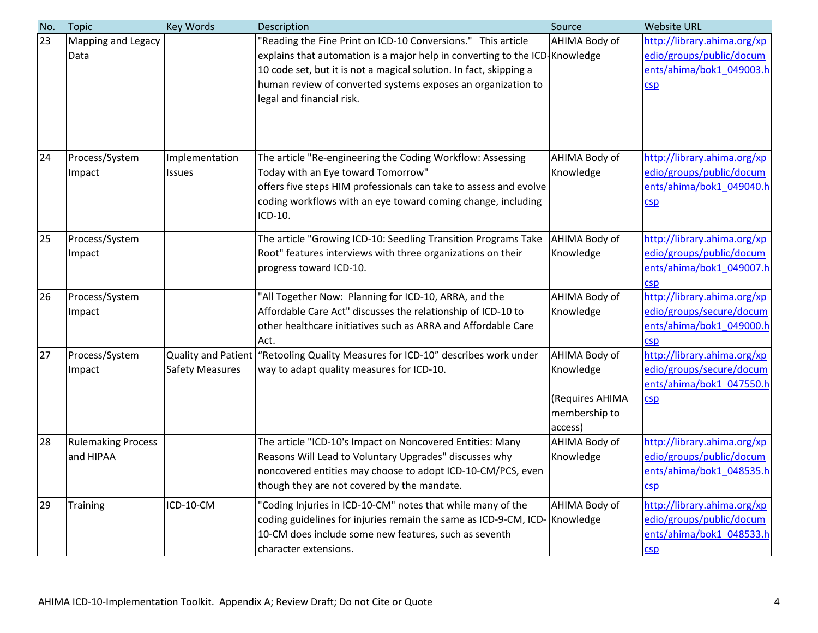| No. | <b>Topic</b>              | Key Words              | Description                                                                 | Source          | <b>Website URL</b>          |
|-----|---------------------------|------------------------|-----------------------------------------------------------------------------|-----------------|-----------------------------|
| 23  | Mapping and Legacy        |                        | "Reading the Fine Print on ICD-10 Conversions." This article                | AHIMA Body of   | http://library.ahima.org/xp |
|     | Data                      |                        | explains that automation is a major help in converting to the ICD Knowledge |                 | edio/groups/public/docum    |
|     |                           |                        | 10 code set, but it is not a magical solution. In fact, skipping a          |                 | ents/ahima/bok1_049003.h    |
|     |                           |                        | human review of converted systems exposes an organization to                |                 | CSD                         |
|     |                           |                        | legal and financial risk.                                                   |                 |                             |
|     |                           |                        |                                                                             |                 |                             |
|     |                           |                        |                                                                             |                 |                             |
|     |                           |                        |                                                                             |                 |                             |
| 24  | Process/System            | Implementation         | The article "Re-engineering the Coding Workflow: Assessing                  | AHIMA Body of   | http://library.ahima.org/xp |
|     | Impact                    | <b>Issues</b>          | Today with an Eye toward Tomorrow"                                          | Knowledge       | edio/groups/public/docum    |
|     |                           |                        | offers five steps HIM professionals can take to assess and evolve           |                 | ents/ahima/bok1_049040.h    |
|     |                           |                        | coding workflows with an eye toward coming change, including                |                 | CSD                         |
|     |                           |                        | ICD-10.                                                                     |                 |                             |
| 25  | Process/System            |                        | The article "Growing ICD-10: Seedling Transition Programs Take              | AHIMA Body of   | http://library.ahima.org/xp |
|     | Impact                    |                        | Root" features interviews with three organizations on their                 | Knowledge       | edio/groups/public/docum    |
|     |                           |                        | progress toward ICD-10.                                                     |                 | ents/ahima/bok1_049007.h    |
|     |                           |                        |                                                                             |                 | csp                         |
| 26  | Process/System            |                        | "All Together Now: Planning for ICD-10, ARRA, and the                       | AHIMA Body of   | http://library.ahima.org/xp |
|     | Impact                    |                        | Affordable Care Act" discusses the relationship of ICD-10 to                | Knowledge       | edio/groups/secure/docum    |
|     |                           |                        | other healthcare initiatives such as ARRA and Affordable Care               |                 | ents/ahima/bok1_049000.h    |
|     |                           |                        | Act.                                                                        |                 | csp                         |
| 27  | Process/System            | Quality and Patient    | "Retooling Quality Measures for ICD-10" describes work under                | AHIMA Body of   | http://library.ahima.org/xp |
|     | Impact                    | <b>Safety Measures</b> | way to adapt quality measures for ICD-10.                                   | Knowledge       | edio/groups/secure/docum    |
|     |                           |                        |                                                                             |                 | ents/ahima/bok1_047550.h    |
|     |                           |                        |                                                                             | (Requires AHIMA | CSD                         |
|     |                           |                        |                                                                             | membership to   |                             |
|     |                           |                        |                                                                             | access)         |                             |
| 28  | <b>Rulemaking Process</b> |                        | The article "ICD-10's Impact on Noncovered Entities: Many                   | AHIMA Body of   | http://library.ahima.org/xp |
|     | and HIPAA                 |                        | Reasons Will Lead to Voluntary Upgrades" discusses why                      | Knowledge       | edio/groups/public/docum    |
|     |                           |                        | noncovered entities may choose to adopt ICD-10-CM/PCS, even                 |                 | ents/ahima/bok1_048535.h    |
|     |                           |                        | though they are not covered by the mandate.                                 |                 | CSD                         |
| 29  | <b>Training</b>           | ICD-10-CM              | "Coding Injuries in ICD-10-CM" notes that while many of the                 | AHIMA Body of   | http://library.ahima.org/xp |
|     |                           |                        | coding guidelines for injuries remain the same as ICD-9-CM, ICD-            | Knowledge       | edio/groups/public/docum    |
|     |                           |                        | 10-CM does include some new features, such as seventh                       |                 | ents/ahima/bok1_048533.h    |
|     |                           |                        | character extensions.                                                       |                 | c <sub>sp</sub>             |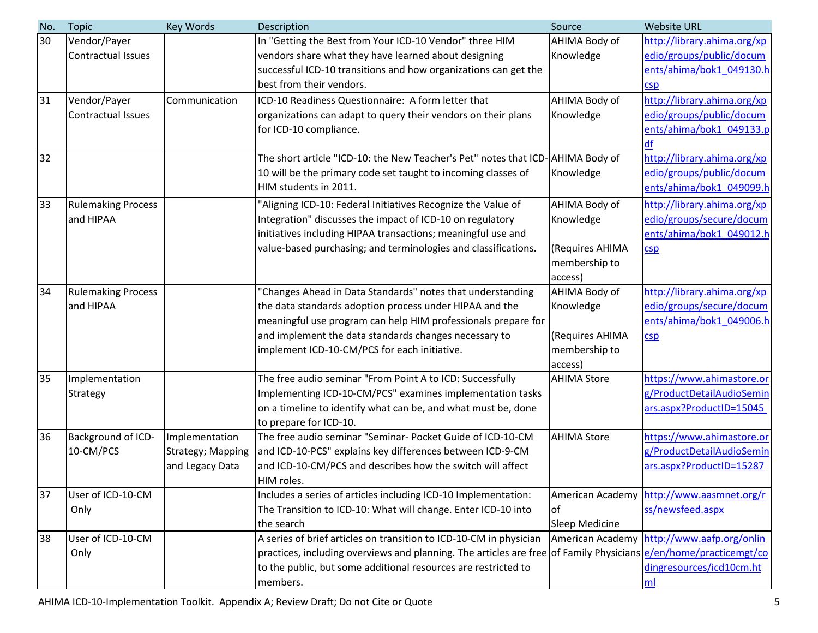| No. | <b>Topic</b>              | Key Words         | Description                                                                                                      | Source             | <b>Website URL</b>                         |
|-----|---------------------------|-------------------|------------------------------------------------------------------------------------------------------------------|--------------------|--------------------------------------------|
| 30  | Vendor/Payer              |                   | In "Getting the Best from Your ICD-10 Vendor" three HIM                                                          | AHIMA Body of      | http://library.ahima.org/xp                |
|     | <b>Contractual Issues</b> |                   | vendors share what they have learned about designing                                                             | Knowledge          | edio/groups/public/docum                   |
|     |                           |                   | successful ICD-10 transitions and how organizations can get the                                                  |                    | ents/ahima/bok1 049130.h                   |
|     |                           |                   | best from their vendors.                                                                                         |                    | csp                                        |
| 31  | Vendor/Payer              | Communication     | ICD-10 Readiness Questionnaire: A form letter that                                                               | AHIMA Body of      | http://library.ahima.org/xp                |
|     | <b>Contractual Issues</b> |                   | organizations can adapt to query their vendors on their plans                                                    | Knowledge          | edio/groups/public/docum                   |
|     |                           |                   | for ICD-10 compliance.                                                                                           |                    | ents/ahima/bok1_049133.p                   |
|     |                           |                   |                                                                                                                  |                    | df                                         |
| 32  |                           |                   | The short article "ICD-10: the New Teacher's Pet" notes that ICD-AHIMA Body of                                   |                    | http://library.ahima.org/xp                |
|     |                           |                   | 10 will be the primary code set taught to incoming classes of                                                    | Knowledge          | edio/groups/public/docum                   |
|     |                           |                   | HIM students in 2011.                                                                                            |                    | ents/ahima/bok1 049099.h                   |
| 33  | <b>Rulemaking Process</b> |                   | 'Aligning ICD-10: Federal Initiatives Recognize the Value of                                                     | AHIMA Body of      | http://library.ahima.org/xp                |
|     | and HIPAA                 |                   | Integration" discusses the impact of ICD-10 on regulatory                                                        | Knowledge          | edio/groups/secure/docum                   |
|     |                           |                   | initiatives including HIPAA transactions; meaningful use and                                                     |                    | ents/ahima/bok1_049012.h                   |
|     |                           |                   | value-based purchasing; and terminologies and classifications.                                                   | (Requires AHIMA    | CSD                                        |
|     |                           |                   |                                                                                                                  | membership to      |                                            |
|     |                           |                   |                                                                                                                  | access)            |                                            |
| 34  | <b>Rulemaking Process</b> |                   | 'Changes Ahead in Data Standards" notes that understanding                                                       | AHIMA Body of      | http://library.ahima.org/xp                |
|     | and HIPAA                 |                   | the data standards adoption process under HIPAA and the                                                          | Knowledge          | edio/groups/secure/docum                   |
|     |                           |                   | meaningful use program can help HIM professionals prepare for                                                    |                    | ents/ahima/bok1 049006.h                   |
|     |                           |                   | and implement the data standards changes necessary to                                                            | (Requires AHIMA    | CSD                                        |
|     |                           |                   | implement ICD-10-CM/PCS for each initiative.                                                                     | membership to      |                                            |
|     |                           |                   |                                                                                                                  | access)            |                                            |
| 35  | Implementation            |                   | The free audio seminar "From Point A to ICD: Successfully                                                        | <b>AHIMA Store</b> | https://www.ahimastore.or                  |
|     | <b>Strategy</b>           |                   | Implementing ICD-10-CM/PCS" examines implementation tasks                                                        |                    | g/ProductDetailAudioSemin                  |
|     |                           |                   | on a timeline to identify what can be, and what must be, done                                                    |                    | ars.aspx?ProductID=15045                   |
|     |                           |                   | to prepare for ICD-10.                                                                                           |                    |                                            |
| 36  | Background of ICD-        | Implementation    | The free audio seminar "Seminar- Pocket Guide of ICD-10-CM                                                       | <b>AHIMA Store</b> | https://www.ahimastore.or                  |
|     | 10-CM/PCS                 | Strategy; Mapping | and ICD-10-PCS" explains key differences between ICD-9-CM                                                        |                    | g/ProductDetailAudioSemin                  |
|     |                           | and Legacy Data   | and ICD-10-CM/PCS and describes how the switch will affect                                                       |                    | ars.aspx?ProductID=15287                   |
|     |                           |                   | HIM roles.                                                                                                       |                    |                                            |
| 37  | User of ICD-10-CM         |                   | Includes a series of articles including ICD-10 Implementation:                                                   |                    | American Academy http://www.aasmnet.org/r  |
|     | Only                      |                   | The Transition to ICD-10: What will change. Enter ICD-10 into                                                    | <b>of</b>          | ss/newsfeed.aspx                           |
|     |                           |                   | the search                                                                                                       | Sleep Medicine     |                                            |
| 38  | User of ICD-10-CM         |                   | A series of brief articles on transition to ICD-10-CM in physician                                               |                    | American Academy http://www.aafp.org/onlin |
|     | Only                      |                   | practices, including overviews and planning. The articles are free of Family Physicians e/en/home/practicemgt/co |                    |                                            |
|     |                           |                   | to the public, but some additional resources are restricted to                                                   |                    | dingresources/icd10cm.ht                   |
|     |                           |                   | members.                                                                                                         |                    | ml                                         |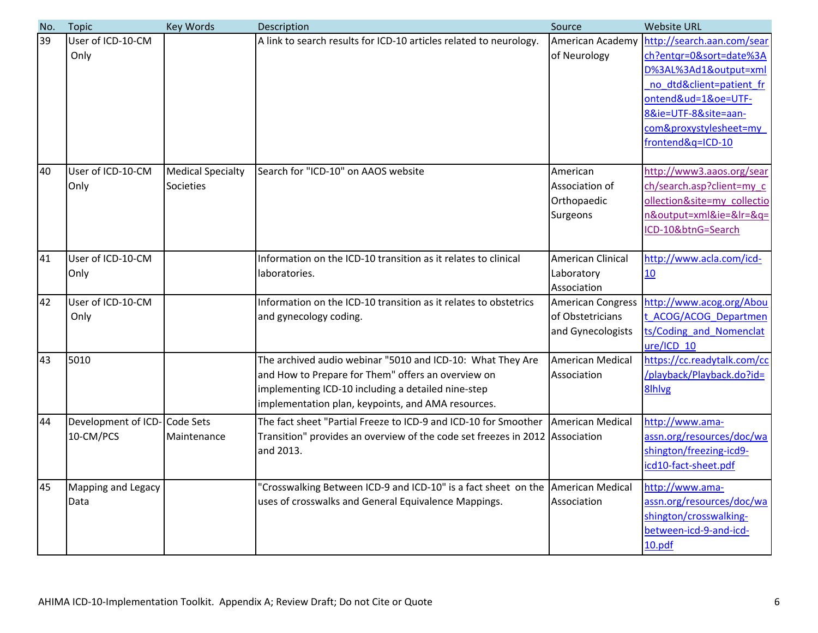| No. | <b>Topic</b>                              | Key Words                             | Description                                                                                                                                                                                                                  | Source                                                            | <b>Website URL</b>                                                                                                                                                                                       |
|-----|-------------------------------------------|---------------------------------------|------------------------------------------------------------------------------------------------------------------------------------------------------------------------------------------------------------------------------|-------------------------------------------------------------------|----------------------------------------------------------------------------------------------------------------------------------------------------------------------------------------------------------|
| 39  | User of ICD-10-CM<br>Only                 |                                       | A link to search results for ICD-10 articles related to neurology.                                                                                                                                                           | American Academy<br>of Neurology                                  | http://search.aan.com/sear<br>ch?entgr=0&sort=date%3A<br>D%3AL%3Ad1&output=xml<br>no dtd&client=patient fr<br>ontend&ud=1&oe=UTF-<br>8&ie=UTF-8&site=aan-<br>com&proxystylesheet=my<br>frontend&q=ICD-10 |
| 40  | User of ICD-10-CM<br>Only                 | <b>Medical Specialty</b><br>Societies | Search for "ICD-10" on AAOS website                                                                                                                                                                                          | American<br>Association of<br>Orthopaedic<br>Surgeons             | http://www3.aaos.org/sear<br>ch/search.asp?client=my_c<br>ollection&site=my collectio<br>n&output=xml&ie=&lr=&q=<br>ICD-10&btnG=Search                                                                   |
| 41  | User of ICD-10-CM<br>Only                 |                                       | Information on the ICD-10 transition as it relates to clinical<br>laboratories.                                                                                                                                              | American Clinical<br>Laboratory<br>Association                    | http://www.acla.com/icd-<br>10                                                                                                                                                                           |
| 42  | User of ICD-10-CM<br>Only                 |                                       | Information on the ICD-10 transition as it relates to obstetrics<br>and gynecology coding.                                                                                                                                   | <b>American Congress</b><br>of Obstetricians<br>and Gynecologists | http://www.acog.org/Abou<br>t ACOG/ACOG Departmen<br>ts/Coding and Nomenclat<br>ure/ICD 10                                                                                                               |
| 43  | 5010                                      |                                       | The archived audio webinar "5010 and ICD-10: What They Are<br>and How to Prepare for Them" offers an overview on<br>implementing ICD-10 including a detailed nine-step<br>implementation plan, keypoints, and AMA resources. | <b>American Medical</b><br>Association                            | https://cc.readytalk.com/cc<br>/playback/Playback.do?id=<br>8lhlvg                                                                                                                                       |
| 44  | Development of ICD-Code Sets<br>10-CM/PCS | Maintenance                           | The fact sheet "Partial Freeze to ICD-9 and ICD-10 for Smoother<br>Transition" provides an overview of the code set freezes in 2012 Association<br>and 2013.                                                                 | American Medical                                                  | http://www.ama-<br>assn.org/resources/doc/wa<br>shington/freezing-icd9-<br>icd10-fact-sheet.pdf                                                                                                          |
| 45  | <b>Mapping and Legacy</b><br>Data         |                                       | "Crosswalking Between ICD-9 and ICD-10" is a fact sheet on the American Medical<br>uses of crosswalks and General Equivalence Mappings.                                                                                      | Association                                                       | http://www.ama-<br>assn.org/resources/doc/wa<br>shington/crosswalking-<br>between-icd-9-and-icd-<br>10.pdf                                                                                               |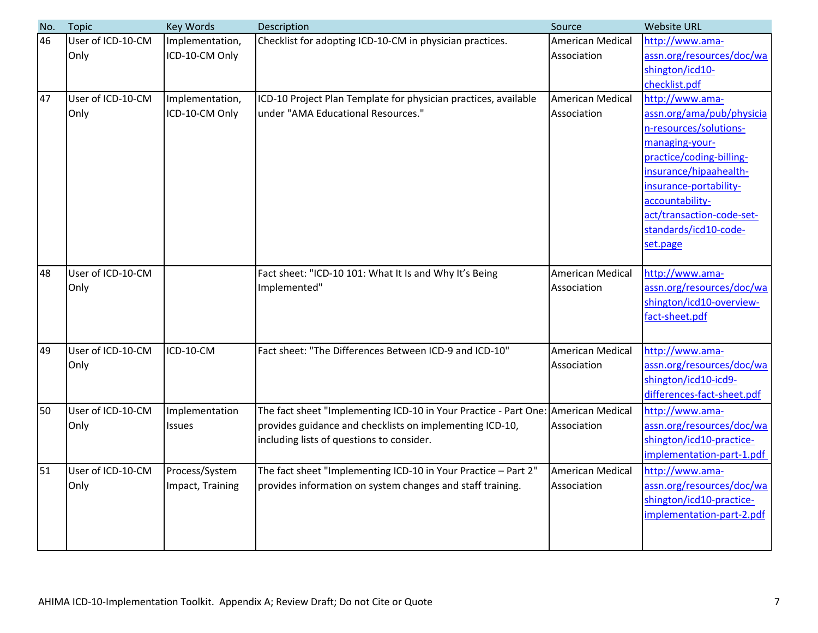| No. | <b>Topic</b>      | Key Words        | Description                                                                       | Source           | <b>Website URL</b>                           |
|-----|-------------------|------------------|-----------------------------------------------------------------------------------|------------------|----------------------------------------------|
| 46  | User of ICD-10-CM | Implementation,  | Checklist for adopting ICD-10-CM in physician practices.                          | American Medical | http://www.ama-                              |
|     | Only              | ICD-10-CM Only   |                                                                                   | Association      | assn.org/resources/doc/wa                    |
|     |                   |                  |                                                                                   |                  | shington/icd10-                              |
|     |                   |                  |                                                                                   |                  | checklist.pdf                                |
| 47  | User of ICD-10-CM | Implementation,  | ICD-10 Project Plan Template for physician practices, available                   | American Medical | http://www.ama-                              |
|     | Only              | ICD-10-CM Only   | under "AMA Educational Resources."                                                | Association      | assn.org/ama/pub/physicia                    |
|     |                   |                  |                                                                                   |                  | n-resources/solutions-                       |
|     |                   |                  |                                                                                   |                  | managing-your-                               |
|     |                   |                  |                                                                                   |                  | practice/coding-billing-                     |
|     |                   |                  |                                                                                   |                  | insurance/hipaahealth-                       |
|     |                   |                  |                                                                                   |                  | insurance-portability-                       |
|     |                   |                  |                                                                                   |                  | accountability-<br>act/transaction-code-set- |
|     |                   |                  |                                                                                   |                  | standards/icd10-code-                        |
|     |                   |                  |                                                                                   |                  | set.page                                     |
|     |                   |                  |                                                                                   |                  |                                              |
| 48  | User of ICD-10-CM |                  | Fact sheet: "ICD-10 101: What It Is and Why It's Being                            | American Medical | http://www.ama-                              |
|     | Only              |                  | Implemented"                                                                      | Association      | assn.org/resources/doc/wa                    |
|     |                   |                  |                                                                                   |                  | shington/icd10-overview-                     |
|     |                   |                  |                                                                                   |                  | fact-sheet.pdf                               |
|     |                   |                  |                                                                                   |                  |                                              |
| 49  | User of ICD-10-CM | ICD-10-CM        | Fact sheet: "The Differences Between ICD-9 and ICD-10"                            | American Medical | http://www.ama-                              |
|     | Only              |                  |                                                                                   | Association      | assn.org/resources/doc/wa                    |
|     |                   |                  |                                                                                   |                  | shington/icd10-icd9-                         |
|     |                   |                  |                                                                                   |                  | differences-fact-sheet.pdf                   |
| 50  | User of ICD-10-CM | Implementation   | The fact sheet "Implementing ICD-10 in Your Practice - Part One: American Medical |                  | http://www.ama-                              |
|     | Only              | <b>Issues</b>    | provides guidance and checklists on implementing ICD-10,                          | Association      | assn.org/resources/doc/wa                    |
|     |                   |                  | including lists of questions to consider.                                         |                  | shington/icd10-practice-                     |
|     |                   |                  |                                                                                   |                  | implementation-part-1.pdf                    |
| 51  | User of ICD-10-CM | Process/System   | The fact sheet "Implementing ICD-10 in Your Practice - Part 2"                    | American Medical | http://www.ama-                              |
|     | Only              | Impact, Training | provides information on system changes and staff training.                        | Association      | assn.org/resources/doc/wa                    |
|     |                   |                  |                                                                                   |                  | shington/icd10-practice-                     |
|     |                   |                  |                                                                                   |                  | implementation-part-2.pdf                    |
|     |                   |                  |                                                                                   |                  |                                              |
|     |                   |                  |                                                                                   |                  |                                              |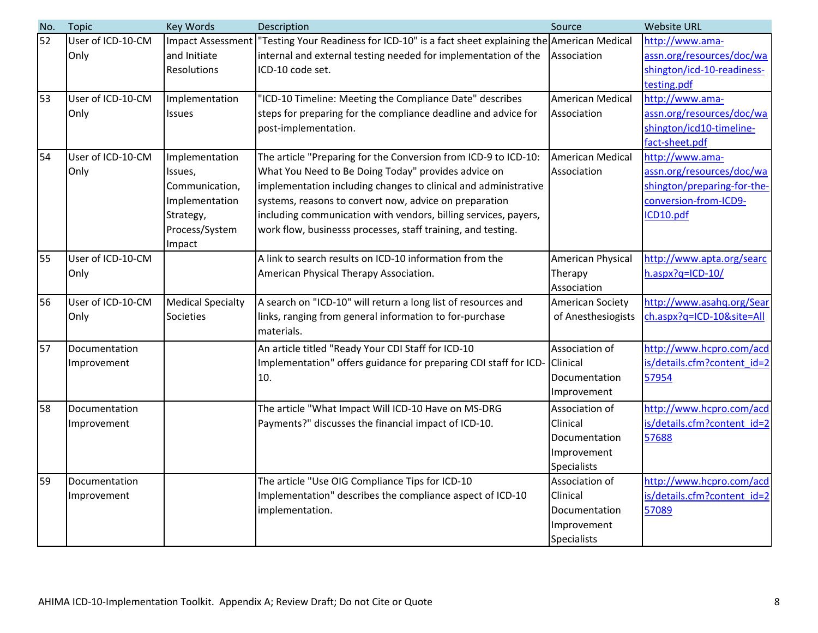| No. | <b>Topic</b>      | <b>Key Words</b>         | Description                                                                         | Source             | <b>Website URL</b>          |
|-----|-------------------|--------------------------|-------------------------------------------------------------------------------------|--------------------|-----------------------------|
| 52  | User of ICD-10-CM | <b>Impact Assessment</b> | "Testing Your Readiness for ICD-10" is a fact sheet explaining the American Medical |                    | http://www.ama-             |
|     | Only              | and Initiate             | internal and external testing needed for implementation of the                      | Association        | assn.org/resources/doc/wa   |
|     |                   | <b>Resolutions</b>       | ICD-10 code set.                                                                    |                    | shington/icd-10-readiness-  |
|     |                   |                          |                                                                                     |                    | testing.pdf                 |
| 53  | User of ICD-10-CM | Implementation           | "ICD-10 Timeline: Meeting the Compliance Date" describes                            | American Medical   | http://www.ama-             |
|     | Only              | <b>Issues</b>            | steps for preparing for the compliance deadline and advice for                      | Association        | assn.org/resources/doc/wa   |
|     |                   |                          | post-implementation.                                                                |                    | shington/icd10-timeline-    |
|     |                   |                          |                                                                                     |                    | fact-sheet.pdf              |
| 54  | User of ICD-10-CM | Implementation           | The article "Preparing for the Conversion from ICD-9 to ICD-10:                     | American Medical   | http://www.ama-             |
|     | Only              | Issues,                  | What You Need to Be Doing Today" provides advice on                                 | Association        | assn.org/resources/doc/wa   |
|     |                   | Communication,           | implementation including changes to clinical and administrative                     |                    | shington/preparing-for-the- |
|     |                   | Implementation           | systems, reasons to convert now, advice on preparation                              |                    | conversion-from-ICD9-       |
|     |                   | Strategy,                | including communication with vendors, billing services, payers,                     |                    | ICD10.pdf                   |
|     |                   | Process/System           | work flow, businesss processes, staff training, and testing.                        |                    |                             |
|     |                   | Impact                   |                                                                                     |                    |                             |
| 55  | User of ICD-10-CM |                          | A link to search results on ICD-10 information from the                             | American Physical  | http://www.apta.org/searc   |
|     | Only              |                          | American Physical Therapy Association.                                              | Therapy            | h.aspx?q=ICD-10/            |
|     |                   |                          |                                                                                     | Association        |                             |
| 56  | User of ICD-10-CM | <b>Medical Specialty</b> | A search on "ICD-10" will return a long list of resources and                       | American Society   | http://www.asahq.org/Sear   |
|     | Only              | Societies                | links, ranging from general information to for-purchase                             | of Anesthesiogists | ch.aspx?q=ICD-10&site=All   |
|     |                   |                          | materials.                                                                          |                    |                             |
| 57  | Documentation     |                          | An article titled "Ready Your CDI Staff for ICD-10                                  | Association of     | http://www.hcpro.com/acd    |
|     | Improvement       |                          | Implementation" offers guidance for preparing CDI staff for ICD-                    | Clinical           | is/details.cfm?content id=2 |
|     |                   |                          | 10.                                                                                 | Documentation      | 57954                       |
|     |                   |                          |                                                                                     | Improvement        |                             |
| 58  | Documentation     |                          | The article "What Impact Will ICD-10 Have on MS-DRG                                 | Association of     | http://www.hcpro.com/acd    |
|     | Improvement       |                          | Payments?" discusses the financial impact of ICD-10.                                | Clinical           | is/details.cfm?content id=2 |
|     |                   |                          |                                                                                     | Documentation      | 57688                       |
|     |                   |                          |                                                                                     | Improvement        |                             |
|     |                   |                          |                                                                                     | <b>Specialists</b> |                             |
| 59  | Documentation     |                          | The article "Use OIG Compliance Tips for ICD-10                                     | Association of     | http://www.hcpro.com/acd    |
|     | Improvement       |                          | Implementation" describes the compliance aspect of ICD-10                           | Clinical           | is/details.cfm?content id=2 |
|     |                   |                          | implementation.                                                                     | Documentation      | 57089                       |
|     |                   |                          |                                                                                     | Improvement        |                             |
|     |                   |                          |                                                                                     | <b>Specialists</b> |                             |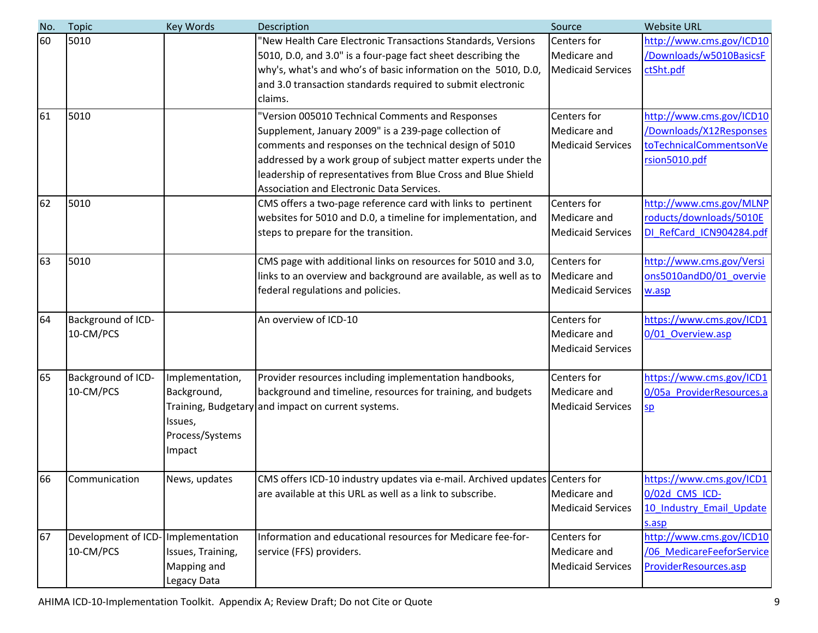| No. | <b>Topic</b>        | <b>Key Words</b>  | Description                                                                 | Source                   | <b>Website URL</b>        |
|-----|---------------------|-------------------|-----------------------------------------------------------------------------|--------------------------|---------------------------|
| 60  | 5010                |                   | "New Health Care Electronic Transactions Standards, Versions                | <b>Centers</b> for       | http://www.cms.gov/ICD10  |
|     |                     |                   | 5010, D.0, and 3.0" is a four-page fact sheet describing the                | Medicare and             | /Downloads/w5010BasicsF   |
|     |                     |                   | why's, what's and who's of basic information on the 5010, D.0,              | <b>Medicaid Services</b> | ctSht.pdf                 |
|     |                     |                   | and 3.0 transaction standards required to submit electronic                 |                          |                           |
|     |                     |                   | claims.                                                                     |                          |                           |
| 61  | 5010                |                   | "Version 005010 Technical Comments and Responses                            | Centers for              | http://www.cms.gov/ICD10  |
|     |                     |                   | Supplement, January 2009" is a 239-page collection of                       | Medicare and             | /Downloads/X12Responses   |
|     |                     |                   | comments and responses on the technical design of 5010                      | <b>Medicaid Services</b> | toTechnicalCommentsonVe   |
|     |                     |                   | addressed by a work group of subject matter experts under the               |                          | rsion5010.pdf             |
|     |                     |                   | leadership of representatives from Blue Cross and Blue Shield               |                          |                           |
|     |                     |                   | Association and Electronic Data Services.                                   |                          |                           |
| 62  | 5010                |                   | CMS offers a two-page reference card with links to pertinent                | Centers for              | http://www.cms.gov/MLNP   |
|     |                     |                   | websites for 5010 and D.0, a timeline for implementation, and               | Medicare and             | roducts/downloads/5010E   |
|     |                     |                   | steps to prepare for the transition.                                        | <b>Medicaid Services</b> | DI RefCard ICN904284.pdf  |
| 63  | 5010                |                   | CMS page with additional links on resources for 5010 and 3.0,               | <b>Centers</b> for       | http://www.cms.gov/Versi  |
|     |                     |                   | links to an overview and background are available, as well as to            | Medicare and             | ons5010andD0/01 overvie   |
|     |                     |                   | federal regulations and policies.                                           | <b>Medicaid Services</b> | w.asp                     |
| 64  | Background of ICD-  |                   | An overview of ICD-10                                                       | Centers for              | https://www.cms.gov/ICD1  |
|     | 10-CM/PCS           |                   |                                                                             | Medicare and             | 0/01 Overview.asp         |
|     |                     |                   |                                                                             | <b>Medicaid Services</b> |                           |
| 65  | Background of ICD-  | Implementation,   | Provider resources including implementation handbooks,                      | <b>Centers</b> for       | https://www.cms.gov/ICD1  |
|     | 10-CM/PCS           | Background,       | background and timeline, resources for training, and budgets                | Medicare and             | 0/05a ProviderResources.a |
|     |                     |                   | Training, Budgetary and impact on current systems.                          | <b>Medicaid Services</b> | $s_{p}$                   |
|     |                     | Issues,           |                                                                             |                          |                           |
|     |                     | Process/Systems   |                                                                             |                          |                           |
|     |                     | Impact            |                                                                             |                          |                           |
| 66  | Communication       | News, updates     | CMS offers ICD-10 industry updates via e-mail. Archived updates Centers for |                          | https://www.cms.gov/ICD1  |
|     |                     |                   | are available at this URL as well as a link to subscribe.                   | Medicare and             | 0/02d CMS ICD-            |
|     |                     |                   |                                                                             | <b>Medicaid Services</b> | 10 Industry Email Update  |
|     |                     |                   |                                                                             |                          | s.asp                     |
| 67  | Development of ICD- | Implementation    | Information and educational resources for Medicare fee-for-                 | Centers for              | http://www.cms.gov/ICD10  |
|     | 10-CM/PCS           | Issues, Training, | service (FFS) providers.                                                    | Medicare and             | /06 MedicareFeeforService |
|     |                     | Mapping and       |                                                                             | <b>Medicaid Services</b> | ProviderResources.asp     |
|     |                     | Legacy Data       |                                                                             |                          |                           |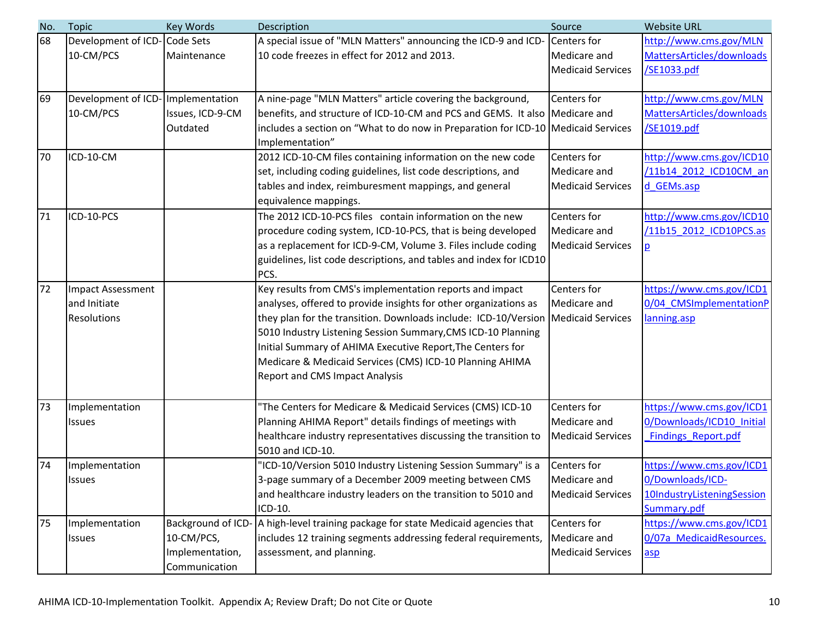| No. | <b>Topic</b>                      | Key Words          | Description                                                                       | Source                   | <b>Website URL</b>         |
|-----|-----------------------------------|--------------------|-----------------------------------------------------------------------------------|--------------------------|----------------------------|
| 68  | Development of ICD-Code Sets      |                    | A special issue of "MLN Matters" announcing the ICD-9 and ICD-                    | Centers for              | http://www.cms.gov/MLN     |
|     | 10-CM/PCS                         | Maintenance        | 10 code freezes in effect for 2012 and 2013.                                      | Medicare and             | MattersArticles/downloads  |
|     |                                   |                    |                                                                                   | <b>Medicaid Services</b> | /SE1033.pdf                |
|     |                                   |                    |                                                                                   |                          |                            |
| 69  | Development of ICD-Implementation |                    | A nine-page "MLN Matters" article covering the background,                        | Centers for              | http://www.cms.gov/MLN     |
|     | 10-CM/PCS                         | Issues, ICD-9-CM   | benefits, and structure of ICD-10-CM and PCS and GEMS. It also Medicare and       |                          | MattersArticles/downloads  |
|     |                                   | Outdated           | includes a section on "What to do now in Preparation for ICD-10 Medicaid Services |                          | /SE1019.pdf                |
|     |                                   |                    | Implementation"                                                                   |                          |                            |
| 70  | ICD-10-CM                         |                    | 2012 ICD-10-CM files containing information on the new code                       | Centers for              | http://www.cms.gov/ICD10   |
|     |                                   |                    | set, including coding guidelines, list code descriptions, and                     | Medicare and             | /11b14 2012 ICD10CM an     |
|     |                                   |                    | tables and index, reimburesment mappings, and general                             | <b>Medicaid Services</b> | d GEMs.asp                 |
|     |                                   |                    | equivalence mappings.                                                             |                          |                            |
| 71  | ICD-10-PCS                        |                    | The 2012 ICD-10-PCS files contain information on the new                          | Centers for              | http://www.cms.gov/ICD10   |
|     |                                   |                    | procedure coding system, ICD-10-PCS, that is being developed                      | Medicare and             | /11b15 2012 ICD10PCS.as    |
|     |                                   |                    | as a replacement for ICD-9-CM, Volume 3. Files include coding                     | <b>Medicaid Services</b> | p                          |
|     |                                   |                    | guidelines, list code descriptions, and tables and index for ICD10                |                          |                            |
|     |                                   |                    | PCS.                                                                              |                          |                            |
| 72  | Impact Assessment                 |                    | Key results from CMS's implementation reports and impact                          | Centers for              | https://www.cms.gov/ICD1   |
|     | and Initiate                      |                    | analyses, offered to provide insights for other organizations as                  | Medicare and             | 0/04 CMSImplementationP    |
|     | Resolutions                       |                    | they plan for the transition. Downloads include: ICD-10/Version                   | <b>Medicaid Services</b> | lanning.asp                |
|     |                                   |                    | 5010 Industry Listening Session Summary, CMS ICD-10 Planning                      |                          |                            |
|     |                                   |                    | Initial Summary of AHIMA Executive Report, The Centers for                        |                          |                            |
|     |                                   |                    | Medicare & Medicaid Services (CMS) ICD-10 Planning AHIMA                          |                          |                            |
|     |                                   |                    | <b>Report and CMS Impact Analysis</b>                                             |                          |                            |
|     |                                   |                    |                                                                                   |                          |                            |
| 73  | Implementation                    |                    | The Centers for Medicare & Medicaid Services (CMS) ICD-10                         | Centers for              | https://www.cms.gov/ICD1   |
|     | Issues                            |                    | Planning AHIMA Report" details findings of meetings with                          | Medicare and             | 0/Downloads/ICD10 Initial  |
|     |                                   |                    | healthcare industry representatives discussing the transition to                  | <b>Medicaid Services</b> | <b>Findings Report.pdf</b> |
|     |                                   |                    | 5010 and ICD-10.                                                                  |                          |                            |
| 74  | Implementation                    |                    | 'ICD-10/Version 5010 Industry Listening Session Summary" is a                     | Centers for              | https://www.cms.gov/ICD1   |
|     | Issues                            |                    | 3-page summary of a December 2009 meeting between CMS                             | Medicare and             | 0/Downloads/ICD-           |
|     |                                   |                    | and healthcare industry leaders on the transition to 5010 and                     | <b>Medicaid Services</b> | 10IndustryListeningSession |
|     |                                   |                    | ICD-10.                                                                           |                          | Summary.pdf                |
| 75  | Implementation                    | Background of ICD- | A high-level training package for state Medicaid agencies that                    | Centers for              | https://www.cms.gov/ICD1   |
|     | <b>Issues</b>                     | 10-CM/PCS,         | includes 12 training segments addressing federal requirements,                    | Medicare and             | 0/07a MedicaidResources.   |
|     |                                   | Implementation,    | assessment, and planning.                                                         | <b>Medicaid Services</b> | $\overline{asp}$           |
|     |                                   | Communication      |                                                                                   |                          |                            |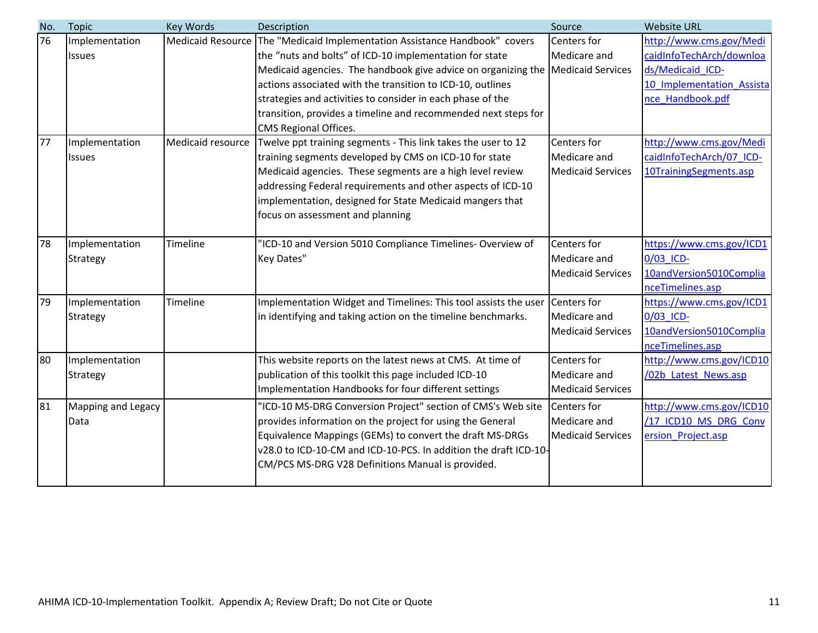| No. | <b>Topic</b>               | Key Words                | Description                                                                                                                                                                                                                                                                                                                                                            | Source                                                  | <b>Website URL</b>                                                      |
|-----|----------------------------|--------------------------|------------------------------------------------------------------------------------------------------------------------------------------------------------------------------------------------------------------------------------------------------------------------------------------------------------------------------------------------------------------------|---------------------------------------------------------|-------------------------------------------------------------------------|
| 76  | Implementation             | <b>Medicaid Resource</b> | The "Medicaid Implementation Assistance Handbook" covers                                                                                                                                                                                                                                                                                                               | Centers for                                             | http://www.cms.gov/Medi                                                 |
|     | <b>Issues</b>              |                          | the "nuts and bolts" of ICD-10 implementation for state                                                                                                                                                                                                                                                                                                                | Medicare and                                            | caidInfoTechArch/downloa                                                |
|     |                            |                          | Medicaid agencies. The handbook give advice on organizing the                                                                                                                                                                                                                                                                                                          | <b>Medicaid Services</b>                                | ds/Medicaid ICD-                                                        |
|     |                            |                          | actions associated with the transition to ICD-10, outlines                                                                                                                                                                                                                                                                                                             |                                                         | 10 Implementation Assista                                               |
|     |                            |                          | strategies and activities to consider in each phase of the                                                                                                                                                                                                                                                                                                             |                                                         | nce Handbook.pdf                                                        |
|     |                            |                          | transition, provides a timeline and recommended next steps for                                                                                                                                                                                                                                                                                                         |                                                         |                                                                         |
|     |                            |                          | CMS Regional Offices.                                                                                                                                                                                                                                                                                                                                                  |                                                         |                                                                         |
| 77  | Implementation             | Medicaid resource        | Twelve ppt training segments - This link takes the user to 12                                                                                                                                                                                                                                                                                                          | Centers for                                             | http://www.cms.gov/Medi                                                 |
|     | <b>Issues</b>              |                          | training segments developed by CMS on ICD-10 for state                                                                                                                                                                                                                                                                                                                 | Medicare and                                            | caidInfoTechArch/07 ICD-                                                |
|     |                            |                          | Medicaid agencies. These segments are a high level review                                                                                                                                                                                                                                                                                                              | <b>Medicaid Services</b>                                | 10TrainingSegments.asp                                                  |
|     |                            |                          | addressing Federal requirements and other aspects of ICD-10                                                                                                                                                                                                                                                                                                            |                                                         |                                                                         |
|     |                            |                          | implementation, designed for State Medicaid mangers that                                                                                                                                                                                                                                                                                                               |                                                         |                                                                         |
|     |                            |                          | focus on assessment and planning                                                                                                                                                                                                                                                                                                                                       |                                                         |                                                                         |
|     |                            |                          |                                                                                                                                                                                                                                                                                                                                                                        |                                                         |                                                                         |
| 78  | Implementation             | Timeline                 | 'ICD-10 and Version 5010 Compliance Timelines-Overview of                                                                                                                                                                                                                                                                                                              | Centers for                                             | https://www.cms.gov/ICD1                                                |
|     | <b>Strategy</b>            |                          | Key Dates"                                                                                                                                                                                                                                                                                                                                                             | Medicare and                                            | 0/03 ICD-                                                               |
|     |                            |                          |                                                                                                                                                                                                                                                                                                                                                                        | <b>Medicaid Services</b>                                | 10andVersion5010Complia                                                 |
|     |                            |                          |                                                                                                                                                                                                                                                                                                                                                                        | Centers for                                             | nceTimelines.asp                                                        |
| 79  | Implementation             | Timeline                 | Implementation Widget and Timelines: This tool assists the user                                                                                                                                                                                                                                                                                                        | Medicare and                                            | https://www.cms.gov/ICD1<br>0/03 ICD-                                   |
|     | <b>Strategy</b>            |                          | in identifying and taking action on the timeline benchmarks.                                                                                                                                                                                                                                                                                                           |                                                         |                                                                         |
|     |                            |                          |                                                                                                                                                                                                                                                                                                                                                                        | <b>Medicaid Services</b>                                | 10andVersion5010Complia<br>nceTimelines.asp                             |
| 80  | Implementation             |                          | This website reports on the latest news at CMS. At time of                                                                                                                                                                                                                                                                                                             | Centers for                                             | http://www.cms.gov/ICD10                                                |
|     | Strategy                   |                          | publication of this toolkit this page included ICD-10                                                                                                                                                                                                                                                                                                                  | Medicare and                                            | /02b Latest News.asp                                                    |
|     |                            |                          |                                                                                                                                                                                                                                                                                                                                                                        | <b>Medicaid Services</b>                                |                                                                         |
|     |                            |                          |                                                                                                                                                                                                                                                                                                                                                                        |                                                         |                                                                         |
|     |                            |                          |                                                                                                                                                                                                                                                                                                                                                                        |                                                         |                                                                         |
|     |                            |                          |                                                                                                                                                                                                                                                                                                                                                                        |                                                         |                                                                         |
|     |                            |                          |                                                                                                                                                                                                                                                                                                                                                                        |                                                         |                                                                         |
|     |                            |                          |                                                                                                                                                                                                                                                                                                                                                                        |                                                         |                                                                         |
|     |                            |                          |                                                                                                                                                                                                                                                                                                                                                                        |                                                         |                                                                         |
| 81  | Mapping and Legacy<br>Data |                          | Implementation Handbooks for four different settings<br>"ICD-10 MS-DRG Conversion Project" section of CMS's Web site<br>provides information on the project for using the General<br>Equivalence Mappings (GEMs) to convert the draft MS-DRGs<br>v28.0 to ICD-10-CM and ICD-10-PCS. In addition the draft ICD-10-<br>CM/PCS MS-DRG V28 Definitions Manual is provided. | Centers for<br>Medicare and<br><b>Medicaid Services</b> | http://www.cms.gov/ICD10<br>/17 ICD10 MS DRG Conv<br>ersion Project.asp |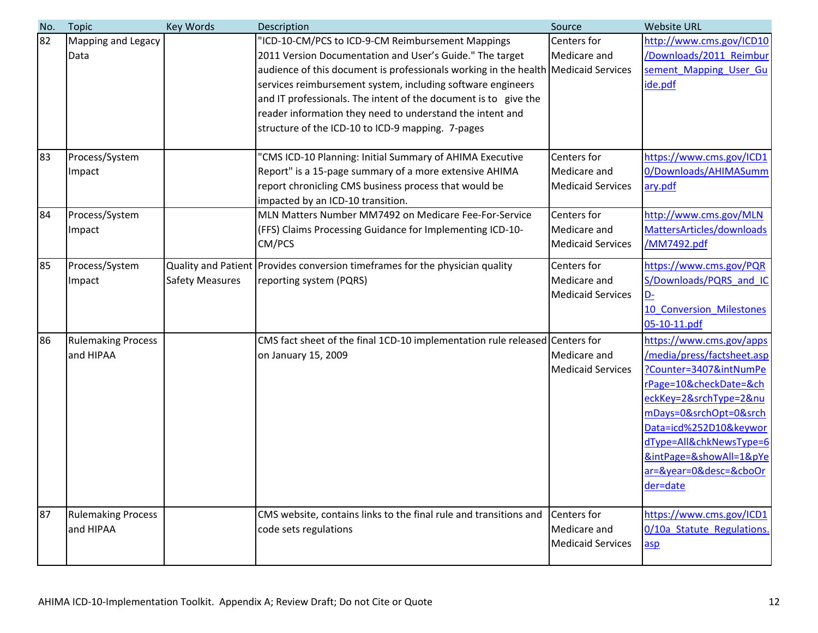| No.      | <b>Topic</b>                                        | Key Words              | Description                                                                                                                                                                                                                                                                                                                                                                                                                                                                                                         | Source                                                  | <b>Website URL</b>                                                                                                                                                                                                                                                                 |
|----------|-----------------------------------------------------|------------------------|---------------------------------------------------------------------------------------------------------------------------------------------------------------------------------------------------------------------------------------------------------------------------------------------------------------------------------------------------------------------------------------------------------------------------------------------------------------------------------------------------------------------|---------------------------------------------------------|------------------------------------------------------------------------------------------------------------------------------------------------------------------------------------------------------------------------------------------------------------------------------------|
| 82<br>83 | <b>Mapping and Legacy</b><br>Data<br>Process/System |                        | 'ICD-10-CM/PCS to ICD-9-CM Reimbursement Mappings<br>2011 Version Documentation and User's Guide." The target<br>audience of this document is professionals working in the health Medicaid Services<br>services reimbursement system, including software engineers<br>and IT professionals. The intent of the document is to give the<br>reader information they need to understand the intent and<br>structure of the ICD-10 to ICD-9 mapping. 7-pages<br>"CMS ICD-10 Planning: Initial Summary of AHIMA Executive | Centers for<br>Medicare and<br>Centers for              | http://www.cms.gov/ICD10<br>/Downloads/2011 Reimbur<br>sement Mapping User Gu<br>ide.pdf<br>https://www.cms.gov/ICD1                                                                                                                                                               |
|          | Impact                                              |                        | Report" is a 15-page summary of a more extensive AHIMA<br>report chronicling CMS business process that would be<br>impacted by an ICD-10 transition.                                                                                                                                                                                                                                                                                                                                                                | Medicare and<br><b>Medicaid Services</b>                | 0/Downloads/AHIMASumm<br>ary.pdf                                                                                                                                                                                                                                                   |
| 84       | Process/System<br>Impact                            |                        | MLN Matters Number MM7492 on Medicare Fee-For-Service<br>(FFS) Claims Processing Guidance for Implementing ICD-10-<br>CM/PCS                                                                                                                                                                                                                                                                                                                                                                                        | Centers for<br>Medicare and<br><b>Medicaid Services</b> | http://www.cms.gov/MLN<br>MattersArticles/downloads<br>/MM7492.pdf                                                                                                                                                                                                                 |
| 85       | Process/System<br>Impact                            | <b>Safety Measures</b> | Quality and Patient Provides conversion timeframes for the physician quality<br>reporting system (PQRS)                                                                                                                                                                                                                                                                                                                                                                                                             | Centers for<br>Medicare and<br><b>Medicaid Services</b> | https://www.cms.gov/PQR<br>S/Downloads/PQRS and IC<br>$D -$<br>10 Conversion Milestones<br>05-10-11.pdf                                                                                                                                                                            |
| 86       | <b>Rulemaking Process</b><br>and HIPAA              |                        | CMS fact sheet of the final 1CD-10 implementation rule released Centers for<br>on January 15, 2009                                                                                                                                                                                                                                                                                                                                                                                                                  | Medicare and<br><b>Medicaid Services</b>                | https://www.cms.gov/apps<br>/media/press/factsheet.asp<br>?Counter=3407&intNumPe<br>rPage=10&checkDate=&ch<br>eckKey=2&srchType=2ν<br>mDays=0&srchOpt=0&srch<br>Data=icd%252D10&keywor<br>dType=All&chkNewsType=6<br>&intPage=&showAll=1&pYe<br>ar=&year=0&desc=&cboOr<br>der=date |
| 87       | <b>Rulemaking Process</b><br>and HIPAA              |                        | CMS website, contains links to the final rule and transitions and<br>code sets regulations                                                                                                                                                                                                                                                                                                                                                                                                                          | Centers for<br>Medicare and<br><b>Medicaid Services</b> | https://www.cms.gov/ICD1<br>0/10a_Statute_Regulations.<br>asp                                                                                                                                                                                                                      |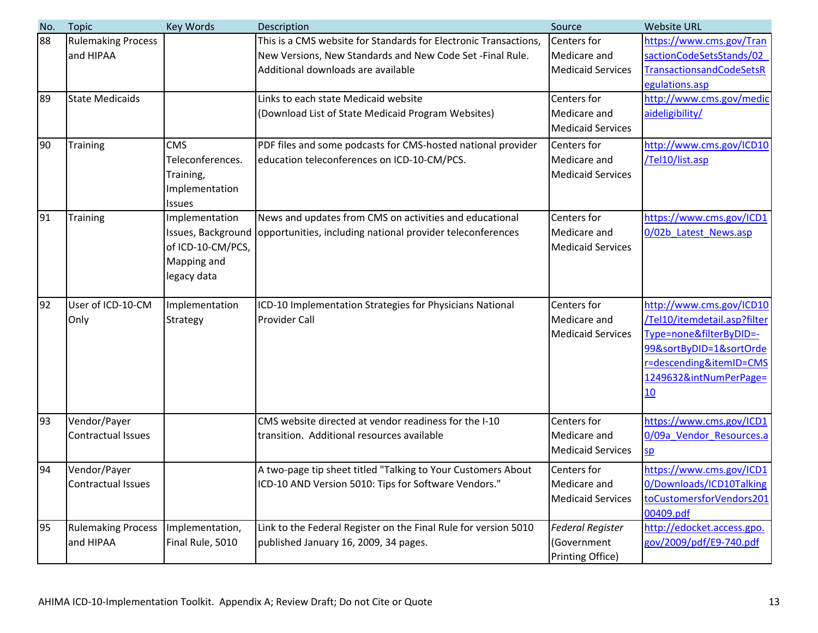| No. | <b>Topic</b>                              | <b>Key Words</b>                                                                        | Description                                                                                                                                                          | Source                                                     | <b>Website URL</b>                                                                                                                                                        |
|-----|-------------------------------------------|-----------------------------------------------------------------------------------------|----------------------------------------------------------------------------------------------------------------------------------------------------------------------|------------------------------------------------------------|---------------------------------------------------------------------------------------------------------------------------------------------------------------------------|
| 88  | <b>Rulemaking Process</b><br>and HIPAA    |                                                                                         | This is a CMS website for Standards for Electronic Transactions,<br>New Versions, New Standards and New Code Set - Final Rule.<br>Additional downloads are available | Centers for<br>Medicare and<br><b>Medicaid Services</b>    | https://www.cms.gov/Tran<br>sactionCodeSetsStands/02<br><b>TransactionsandCodeSetsR</b><br>egulations.asp                                                                 |
| 89  | <b>State Medicaids</b>                    |                                                                                         | Links to each state Medicaid website<br>Download List of State Medicaid Program Websites)                                                                            | Centers for<br>Medicare and<br><b>Medicaid Services</b>    | http://www.cms.gov/medic<br>aideligibility/                                                                                                                               |
| 90  | <b>Training</b>                           | <b>CMS</b><br>Teleconferences.<br>Training,<br>Implementation<br><b>Issues</b>          | PDF files and some podcasts for CMS-hosted national provider<br>education teleconferences on ICD-10-CM/PCS.                                                          | Centers for<br>Medicare and<br><b>Medicaid Services</b>    | http://www.cms.gov/ICD10<br>/Tel10/list.asp                                                                                                                               |
| 91  | Training                                  | Implementation<br>Issues, Background<br>of ICD-10-CM/PCS,<br>Mapping and<br>legacy data | News and updates from CMS on activities and educational<br>opportunities, including national provider teleconferences                                                | Centers for<br>Medicare and<br><b>Medicaid Services</b>    | https://www.cms.gov/ICD1<br>0/02b Latest News.asp                                                                                                                         |
| 92  | User of ICD-10-CM<br>Only                 | Implementation<br>Strategy                                                              | ICD-10 Implementation Strategies for Physicians National<br><b>Provider Call</b>                                                                                     | Centers for<br>Medicare and<br><b>Medicaid Services</b>    | http://www.cms.gov/ICD10<br>/Tel10/itemdetail.asp?filter<br>Type=none&filterByDID=-<br>99&sortByDID=1&sortOrde<br>r=descending&itemID=CMS<br>1249632&intNumPerPage=<br>10 |
| 93  | Vendor/Payer<br><b>Contractual Issues</b> |                                                                                         | CMS website directed at vendor readiness for the I-10<br>transition. Additional resources available                                                                  | Centers for<br>Medicare and<br><b>Medicaid Services</b>    | https://www.cms.gov/ICD1<br>0/09a Vendor Resources.a<br>SD                                                                                                                |
| 94  | Vendor/Payer<br>Contractual Issues        |                                                                                         | A two-page tip sheet titled "Talking to Your Customers About<br>ICD-10 AND Version 5010: Tips for Software Vendors."                                                 | Centers for<br>Medicare and<br><b>Medicaid Services</b>    | https://www.cms.gov/ICD1<br>0/Downloads/ICD10Talking<br>toCustomersforVendors201<br>00409.pdf                                                                             |
| 95  | <b>Rulemaking Process</b><br>and HIPAA    | Implementation,<br>Final Rule, 5010                                                     | Link to the Federal Register on the Final Rule for version 5010<br>published January 16, 2009, 34 pages.                                                             | <b>Federal Register</b><br>(Government<br>Printing Office) | http://edocket.access.gpo.<br>gov/2009/pdf/E9-740.pdf                                                                                                                     |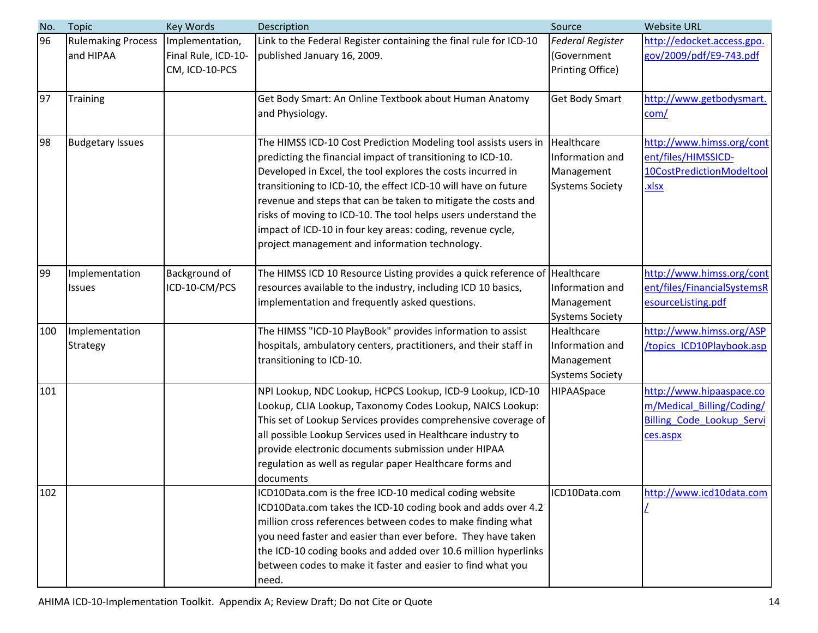| No. | <b>Topic</b>              | Key Words           | Description                                                                | Source                  | <b>Website URL</b>               |
|-----|---------------------------|---------------------|----------------------------------------------------------------------------|-------------------------|----------------------------------|
| 96  | <b>Rulemaking Process</b> | Implementation,     | Link to the Federal Register containing the final rule for ICD-10          | <b>Federal Register</b> | http://edocket.access.gpo.       |
|     | and HIPAA                 | Final Rule, ICD-10- | published January 16, 2009.                                                | (Government             | gov/2009/pdf/E9-743.pdf          |
|     |                           | CM, ICD-10-PCS      |                                                                            | Printing Office)        |                                  |
|     |                           |                     |                                                                            |                         |                                  |
| 97  | Training                  |                     | Get Body Smart: An Online Textbook about Human Anatomy                     | <b>Get Body Smart</b>   | http://www.getbodysmart.         |
|     |                           |                     | and Physiology.                                                            |                         | com/                             |
| 98  | <b>Budgetary Issues</b>   |                     | The HIMSS ICD-10 Cost Prediction Modeling tool assists users in            | Healthcare              | http://www.himss.org/cont        |
|     |                           |                     | predicting the financial impact of transitioning to ICD-10.                | Information and         | ent/files/HIMSSICD-              |
|     |                           |                     | Developed in Excel, the tool explores the costs incurred in                | Management              | 10CostPredictionModeltool        |
|     |                           |                     | transitioning to ICD-10, the effect ICD-10 will have on future             | <b>Systems Society</b>  | <u>xlsx</u>                      |
|     |                           |                     | revenue and steps that can be taken to mitigate the costs and              |                         |                                  |
|     |                           |                     | risks of moving to ICD-10. The tool helps users understand the             |                         |                                  |
|     |                           |                     | impact of ICD-10 in four key areas: coding, revenue cycle,                 |                         |                                  |
|     |                           |                     | project management and information technology.                             |                         |                                  |
| 99  | Implementation            | Background of       | The HIMSS ICD 10 Resource Listing provides a quick reference of Healthcare |                         | http://www.himss.org/cont        |
|     | <b>Issues</b>             | ICD-10-CM/PCS       | resources available to the industry, including ICD 10 basics,              | Information and         | ent/files/FinancialSystemsR      |
|     |                           |                     | implementation and frequently asked questions.                             | Management              | esourceListing.pdf               |
|     |                           |                     |                                                                            | <b>Systems Society</b>  |                                  |
| 100 | Implementation            |                     | The HIMSS "ICD-10 PlayBook" provides information to assist                 | Healthcare              | http://www.himss.org/ASP         |
|     | Strategy                  |                     | hospitals, ambulatory centers, practitioners, and their staff in           | Information and         | /topics ICD10Playbook.asp        |
|     |                           |                     | transitioning to ICD-10.                                                   | Management              |                                  |
|     |                           |                     |                                                                            | <b>Systems Society</b>  |                                  |
| 101 |                           |                     | NPI Lookup, NDC Lookup, HCPCS Lookup, ICD-9 Lookup, ICD-10                 | HIPAASpace              | http://www.hipaaspace.co         |
|     |                           |                     | Lookup, CLIA Lookup, Taxonomy Codes Lookup, NAICS Lookup:                  |                         | m/Medical Billing/Coding/        |
|     |                           |                     | This set of Lookup Services provides comprehensive coverage of             |                         | <b>Billing Code Lookup Servi</b> |
|     |                           |                     | all possible Lookup Services used in Healthcare industry to                |                         | ces.aspx                         |
|     |                           |                     | provide electronic documents submission under HIPAA                        |                         |                                  |
|     |                           |                     | regulation as well as regular paper Healthcare forms and                   |                         |                                  |
|     |                           |                     | documents                                                                  |                         |                                  |
| 102 |                           |                     | ICD10Data.com is the free ICD-10 medical coding website                    | ICD10Data.com           | http://www.icd10data.com         |
|     |                           |                     | ICD10Data.com takes the ICD-10 coding book and adds over 4.2               |                         |                                  |
|     |                           |                     | million cross references between codes to make finding what                |                         |                                  |
|     |                           |                     | you need faster and easier than ever before. They have taken               |                         |                                  |
|     |                           |                     | the ICD-10 coding books and added over 10.6 million hyperlinks             |                         |                                  |
|     |                           |                     | between codes to make it faster and easier to find what you                |                         |                                  |
|     |                           |                     | need.                                                                      |                         |                                  |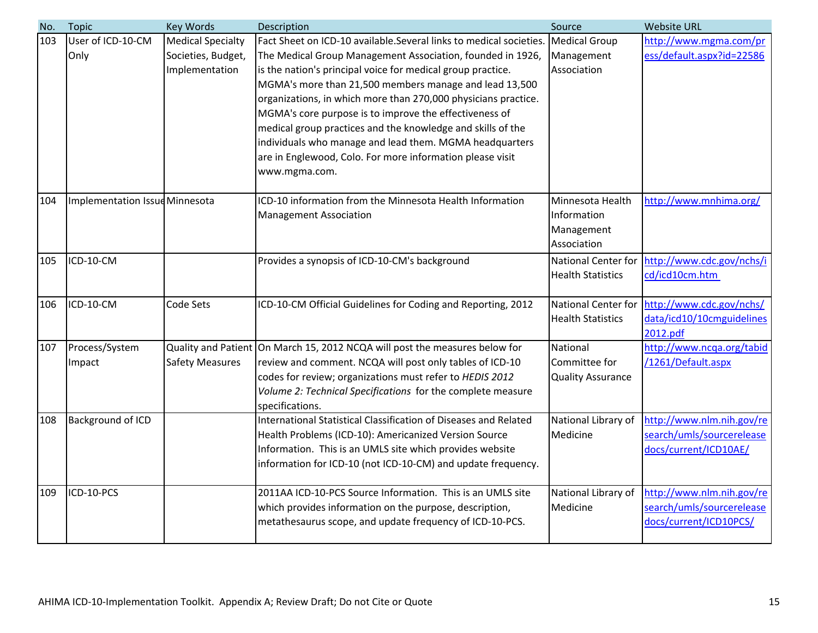| No. | <b>Topic</b>                   | Key Words                | Description                                                                                                              | Source                     | <b>Website URL</b>                                     |
|-----|--------------------------------|--------------------------|--------------------------------------------------------------------------------------------------------------------------|----------------------------|--------------------------------------------------------|
| 103 | User of ICD-10-CM              | <b>Medical Specialty</b> | Fact Sheet on ICD-10 available. Several links to medical societies.                                                      | <b>Medical Group</b>       | http://www.mgma.com/pr                                 |
|     | Only                           | Societies, Budget,       | The Medical Group Management Association, founded in 1926,                                                               | Management                 | ess/default.aspx?id=22586                              |
|     |                                | Implementation           | is the nation's principal voice for medical group practice.                                                              | Association                |                                                        |
|     |                                |                          | MGMA's more than 21,500 members manage and lead 13,500                                                                   |                            |                                                        |
|     |                                |                          | organizations, in which more than 270,000 physicians practice.                                                           |                            |                                                        |
|     |                                |                          | MGMA's core purpose is to improve the effectiveness of                                                                   |                            |                                                        |
|     |                                |                          | medical group practices and the knowledge and skills of the                                                              |                            |                                                        |
|     |                                |                          | individuals who manage and lead them. MGMA headquarters                                                                  |                            |                                                        |
|     |                                |                          | are in Englewood, Colo. For more information please visit                                                                |                            |                                                        |
|     |                                |                          | www.mgma.com.                                                                                                            |                            |                                                        |
| 104 | Implementation Issue Minnesota |                          | ICD-10 information from the Minnesota Health Information                                                                 | Minnesota Health           | http://www.mnhima.org/                                 |
|     |                                |                          | <b>Management Association</b>                                                                                            | Information                |                                                        |
|     |                                |                          |                                                                                                                          | Management                 |                                                        |
|     |                                |                          |                                                                                                                          | Association                |                                                        |
| 105 | ICD-10-CM                      |                          | Provides a synopsis of ICD-10-CM's background                                                                            | <b>National Center for</b> | http://www.cdc.gov/nchs/i                              |
|     |                                |                          |                                                                                                                          | <b>Health Statistics</b>   | cd/icd10cm.htm                                         |
|     |                                |                          |                                                                                                                          |                            |                                                        |
| 106 | ICD-10-CM                      | <b>Code Sets</b>         | ICD-10-CM Official Guidelines for Coding and Reporting, 2012                                                             | <b>National Center for</b> | http://www.cdc.gov/nchs/                               |
|     |                                |                          |                                                                                                                          | <b>Health Statistics</b>   | data/icd10/10cmguidelines                              |
|     |                                |                          |                                                                                                                          |                            | 2012.pdf                                               |
| 107 | Process/System                 |                          | Quality and Patient   On March 15, 2012 NCQA will post the measures below for                                            | National                   | http://www.ncga.org/tabid                              |
|     | Impact                         | <b>Safety Measures</b>   | review and comment. NCQA will post only tables of ICD-10                                                                 | Committee for              | /1261/Default.aspx                                     |
|     |                                |                          | codes for review; organizations must refer to HEDIS 2012                                                                 | <b>Quality Assurance</b>   |                                                        |
|     |                                |                          | Volume 2: Technical Specifications for the complete measure                                                              |                            |                                                        |
|     |                                |                          | specifications.                                                                                                          |                            |                                                        |
| 108 | Background of ICD              |                          | International Statistical Classification of Diseases and Related                                                         | National Library of        | http://www.nlm.nih.gov/re<br>search/umls/sourcerelease |
|     |                                |                          | Health Problems (ICD-10): Americanized Version Source                                                                    | Medicine                   |                                                        |
|     |                                |                          | Information. This is an UMLS site which provides website<br>information for ICD-10 (not ICD-10-CM) and update frequency. |                            | docs/current/ICD10AE/                                  |
|     |                                |                          |                                                                                                                          |                            |                                                        |
| 109 | ICD-10-PCS                     |                          | 2011AA ICD-10-PCS Source Information. This is an UMLS site                                                               | National Library of        | http://www.nlm.nih.gov/re                              |
|     |                                |                          | which provides information on the purpose, description,                                                                  | Medicine                   | search/umls/sourcerelease                              |
|     |                                |                          | metathesaurus scope, and update frequency of ICD-10-PCS.                                                                 |                            | docs/current/ICD10PCS/                                 |
|     |                                |                          |                                                                                                                          |                            |                                                        |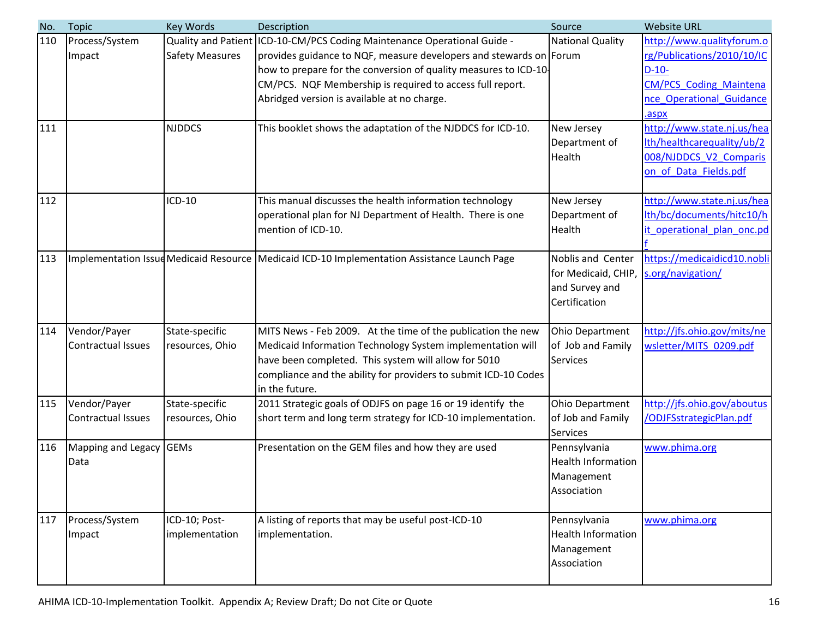| No. | <b>Topic</b>              | Key Words              | Description                                                                                    | Source                    | <b>Website URL</b>             |
|-----|---------------------------|------------------------|------------------------------------------------------------------------------------------------|---------------------------|--------------------------------|
| 110 | Process/System            | Quality and Patient    | ICD-10-CM/PCS Coding Maintenance Operational Guide -                                           | <b>National Quality</b>   | http://www.qualityforum.o      |
|     | Impact                    | <b>Safety Measures</b> | provides guidance to NQF, measure developers and stewards on Forum                             |                           | rg/Publications/2010/10/IC     |
|     |                           |                        | how to prepare for the conversion of quality measures to ICD-10-                               |                           | $D-10-$                        |
|     |                           |                        | CM/PCS. NQF Membership is required to access full report.                                      |                           | <b>CM/PCS Coding Maintena</b>  |
|     |                           |                        | Abridged version is available at no charge.                                                    |                           | nce Operational Guidance       |
|     |                           |                        |                                                                                                |                           | .aspx                          |
| 111 |                           | <b>NJDDCS</b>          | This booklet shows the adaptation of the NJDDCS for ICD-10.                                    | New Jersey                | http://www.state.nj.us/hea     |
|     |                           |                        |                                                                                                | Department of             | lth/healthcarequality/ub/2     |
|     |                           |                        |                                                                                                | Health                    | 008/NJDDCS_V2_Comparis         |
|     |                           |                        |                                                                                                |                           | on of Data Fields.pdf          |
|     |                           |                        |                                                                                                |                           |                                |
| 112 |                           | ICD-10                 | This manual discusses the health information technology                                        | New Jersey                | http://www.state.nj.us/hea     |
|     |                           |                        | operational plan for NJ Department of Health. There is one                                     | Department of             | lth/bc/documents/hitc10/h      |
|     |                           |                        | mention of ICD-10.                                                                             | Health                    | it operational plan onc.pd     |
|     |                           |                        |                                                                                                |                           |                                |
| 113 |                           |                        | Implementation Issue Medicaid Resource   Medicaid ICD-10 Implementation Assistance Launch Page | Noblis and Center         | https://medicaidicd10.nobli    |
|     |                           |                        |                                                                                                | for Medicaid, CHIP,       | s.org/navigation/              |
|     |                           |                        |                                                                                                | and Survey and            |                                |
|     |                           |                        |                                                                                                | Certification             |                                |
| 114 | Vendor/Payer              | State-specific         | MITS News - Feb 2009. At the time of the publication the new                                   | Ohio Department           | http://jfs.ohio.gov/mits/ne    |
|     | <b>Contractual Issues</b> | resources, Ohio        | Medicaid Information Technology System implementation will                                     | of Job and Family         | wsletter/MITS 0209.pdf         |
|     |                           |                        | have been completed. This system will allow for 5010                                           | Services                  |                                |
|     |                           |                        | compliance and the ability for providers to submit ICD-10 Codes                                |                           |                                |
|     |                           |                        | in the future.                                                                                 |                           |                                |
| 115 | Vendor/Payer              | State-specific         | 2011 Strategic goals of ODJFS on page 16 or 19 identify the                                    | Ohio Department           | http://jfs.ohio.gov/aboutus    |
|     | <b>Contractual Issues</b> | resources, Ohio        | short term and long term strategy for ICD-10 implementation.                                   | of Job and Family         | <b>/ODJFSstrategicPlan.pdf</b> |
|     |                           |                        |                                                                                                | Services                  |                                |
| 116 | Mapping and Legacy GEMs   |                        | Presentation on the GEM files and how they are used                                            | Pennsylvania              | www.phima.org                  |
|     | Data                      |                        |                                                                                                | <b>Health Information</b> |                                |
|     |                           |                        |                                                                                                | Management                |                                |
|     |                           |                        |                                                                                                | Association               |                                |
|     |                           |                        |                                                                                                |                           |                                |
| 117 | Process/System            | ICD-10; Post-          | A listing of reports that may be useful post-ICD-10                                            | Pennsylvania              | www.phima.org                  |
|     | Impact                    | implementation         | implementation.                                                                                | <b>Health Information</b> |                                |
|     |                           |                        |                                                                                                | Management                |                                |
|     |                           |                        |                                                                                                | Association               |                                |
|     |                           |                        |                                                                                                |                           |                                |